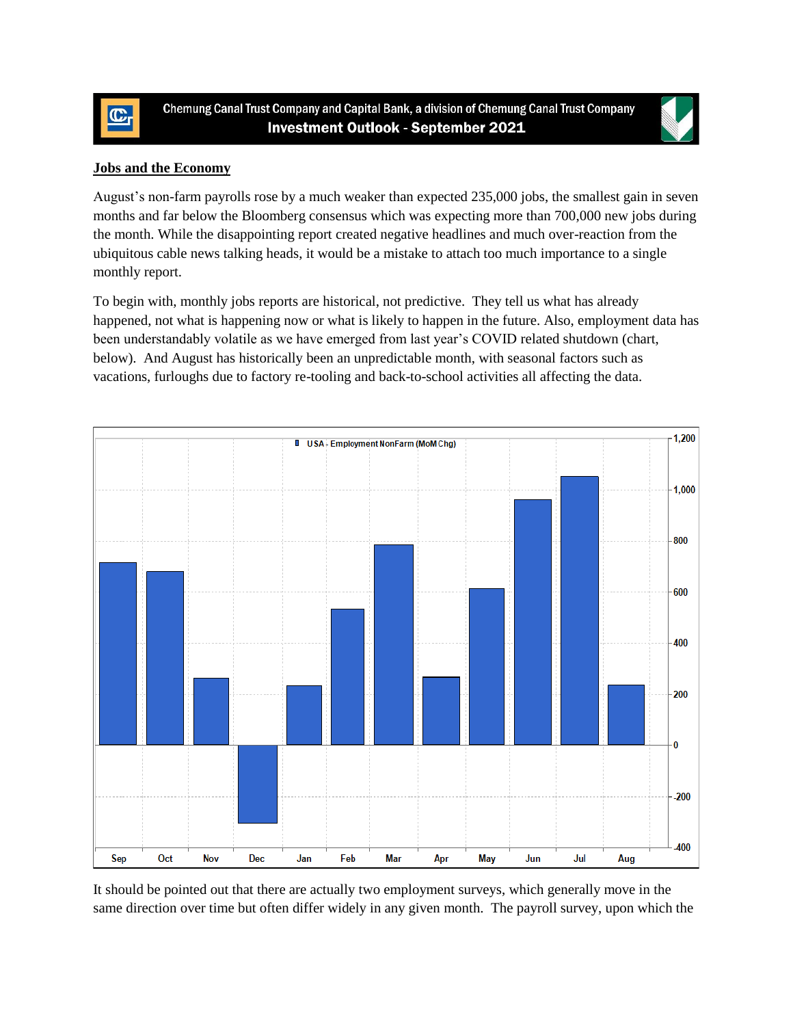

Chemung Canal Trust Company and Capital Bank, a division of Chemung Canal Trust Company **Investment Outlook - September 2021** 



## **Jobs and the Economy**

August's non-farm payrolls rose by a much weaker than expected 235,000 jobs, the smallest gain in seven months and far below the Bloomberg consensus which was expecting more than 700,000 new jobs during the month. While the disappointing report created negative headlines and much over-reaction from the ubiquitous cable news talking heads, it would be a mistake to attach too much importance to a single monthly report.

To begin with, monthly jobs reports are historical, not predictive. They tell us what has already happened, not what is happening now or what is likely to happen in the future. Also, employment data has been understandably volatile as we have emerged from last year's COVID related shutdown (chart, below). And August has historically been an unpredictable month, with seasonal factors such as vacations, furloughs due to factory re-tooling and back-to-school activities all affecting the data.



It should be pointed out that there are actually two employment surveys, which generally move in the same direction over time but often differ widely in any given month. The payroll survey, upon which the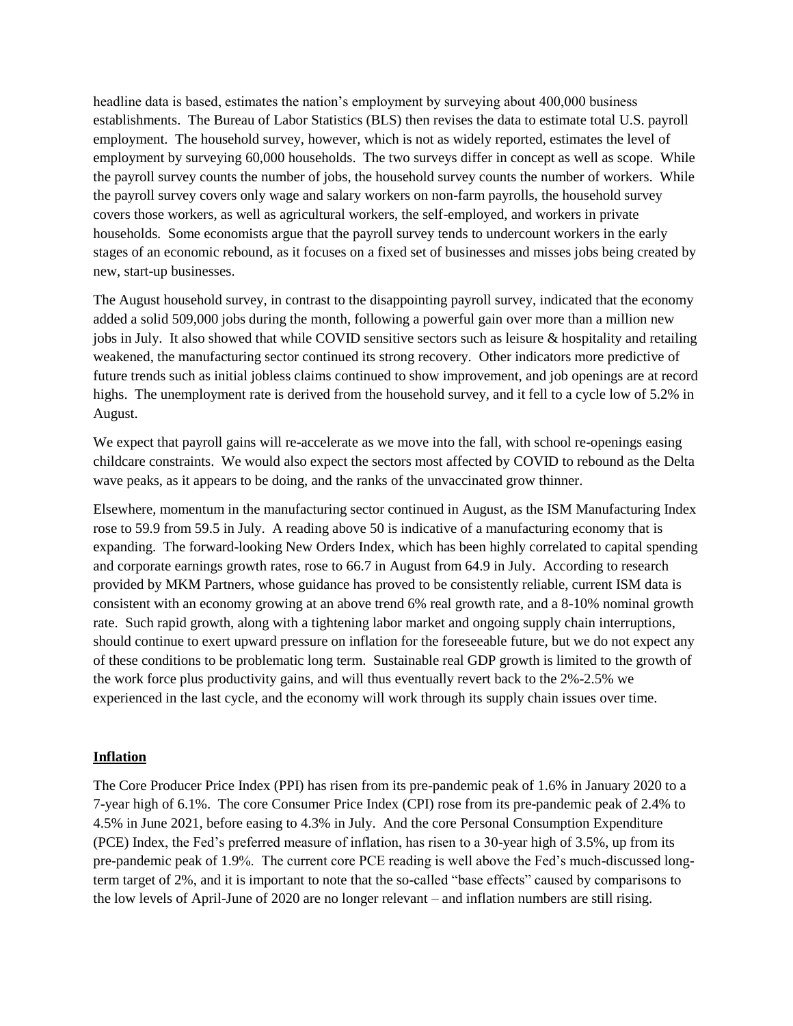headline data is based, estimates the nation's employment by surveying about 400,000 business establishments. The Bureau of Labor Statistics (BLS) then revises the data to estimate total U.S. payroll employment. The household survey, however, which is not as widely reported, estimates the level of employment by surveying 60,000 households. The two surveys differ in concept as well as scope. While the payroll survey counts the number of jobs, the household survey counts the number of workers. While the payroll survey covers only wage and salary workers on non-farm payrolls, the household survey covers those workers, as well as agricultural workers, the self-employed, and workers in private households. Some economists argue that the payroll survey tends to undercount workers in the early stages of an economic rebound, as it focuses on a fixed set of businesses and misses jobs being created by new, start-up businesses.

The August household survey, in contrast to the disappointing payroll survey, indicated that the economy added a solid 509,000 jobs during the month, following a powerful gain over more than a million new jobs in July. It also showed that while COVID sensitive sectors such as leisure & hospitality and retailing weakened, the manufacturing sector continued its strong recovery. Other indicators more predictive of future trends such as initial jobless claims continued to show improvement, and job openings are at record highs. The unemployment rate is derived from the household survey, and it fell to a cycle low of 5.2% in August.

We expect that payroll gains will re-accelerate as we move into the fall, with school re-openings easing childcare constraints. We would also expect the sectors most affected by COVID to rebound as the Delta wave peaks, as it appears to be doing, and the ranks of the unvaccinated grow thinner.

Elsewhere, momentum in the manufacturing sector continued in August, as the ISM Manufacturing Index rose to 59.9 from 59.5 in July. A reading above 50 is indicative of a manufacturing economy that is expanding. The forward-looking New Orders Index, which has been highly correlated to capital spending and corporate earnings growth rates, rose to 66.7 in August from 64.9 in July. According to research provided by MKM Partners, whose guidance has proved to be consistently reliable, current ISM data is consistent with an economy growing at an above trend 6% real growth rate, and a 8-10% nominal growth rate. Such rapid growth, along with a tightening labor market and ongoing supply chain interruptions, should continue to exert upward pressure on inflation for the foreseeable future, but we do not expect any of these conditions to be problematic long term. Sustainable real GDP growth is limited to the growth of the work force plus productivity gains, and will thus eventually revert back to the 2%-2.5% we experienced in the last cycle, and the economy will work through its supply chain issues over time.

## **Inflation**

The Core Producer Price Index (PPI) has risen from its pre-pandemic peak of 1.6% in January 2020 to a 7-year high of 6.1%. The core Consumer Price Index (CPI) rose from its pre-pandemic peak of 2.4% to 4.5% in June 2021, before easing to 4.3% in July. And the core Personal Consumption Expenditure (PCE) Index, the Fed's preferred measure of inflation, has risen to a 30-year high of 3.5%, up from its pre-pandemic peak of 1.9%. The current core PCE reading is well above the Fed's much-discussed longterm target of 2%, and it is important to note that the so-called "base effects" caused by comparisons to the low levels of April-June of 2020 are no longer relevant – and inflation numbers are still rising.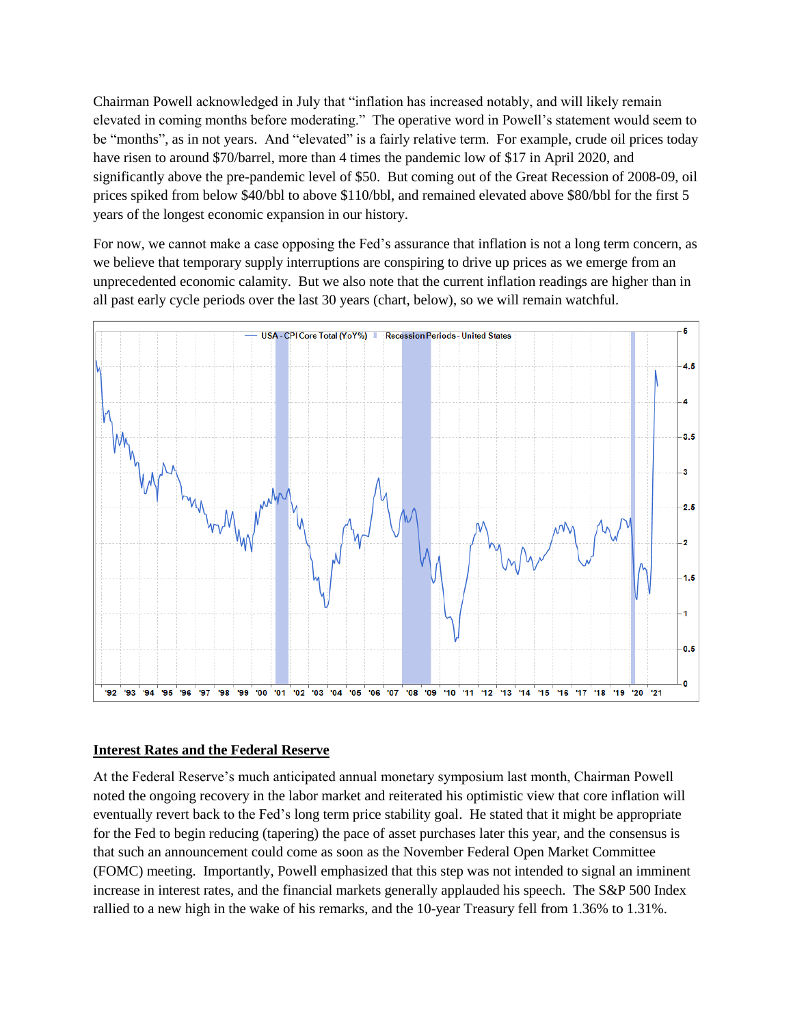Chairman Powell acknowledged in July that "inflation has increased notably, and will likely remain elevated in coming months before moderating." The operative word in Powell's statement would seem to be "months", as in not years. And "elevated" is a fairly relative term. For example, crude oil prices today have risen to around \$70/barrel, more than 4 times the pandemic low of \$17 in April 2020, and significantly above the pre-pandemic level of \$50. But coming out of the Great Recession of 2008-09, oil prices spiked from below \$40/bbl to above \$110/bbl, and remained elevated above \$80/bbl for the first 5 years of the longest economic expansion in our history.

For now, we cannot make a case opposing the Fed's assurance that inflation is not a long term concern, as we believe that temporary supply interruptions are conspiring to drive up prices as we emerge from an unprecedented economic calamity. But we also note that the current inflation readings are higher than in all past early cycle periods over the last 30 years (chart, below), so we will remain watchful.



## **Interest Rates and the Federal Reserve**

At the Federal Reserve's much anticipated annual monetary symposium last month, Chairman Powell noted the ongoing recovery in the labor market and reiterated his optimistic view that core inflation will eventually revert back to the Fed's long term price stability goal. He stated that it might be appropriate for the Fed to begin reducing (tapering) the pace of asset purchases later this year, and the consensus is that such an announcement could come as soon as the November Federal Open Market Committee (FOMC) meeting. Importantly, Powell emphasized that this step was not intended to signal an imminent increase in interest rates, and the financial markets generally applauded his speech. The S&P 500 Index rallied to a new high in the wake of his remarks, and the 10-year Treasury fell from 1.36% to 1.31%.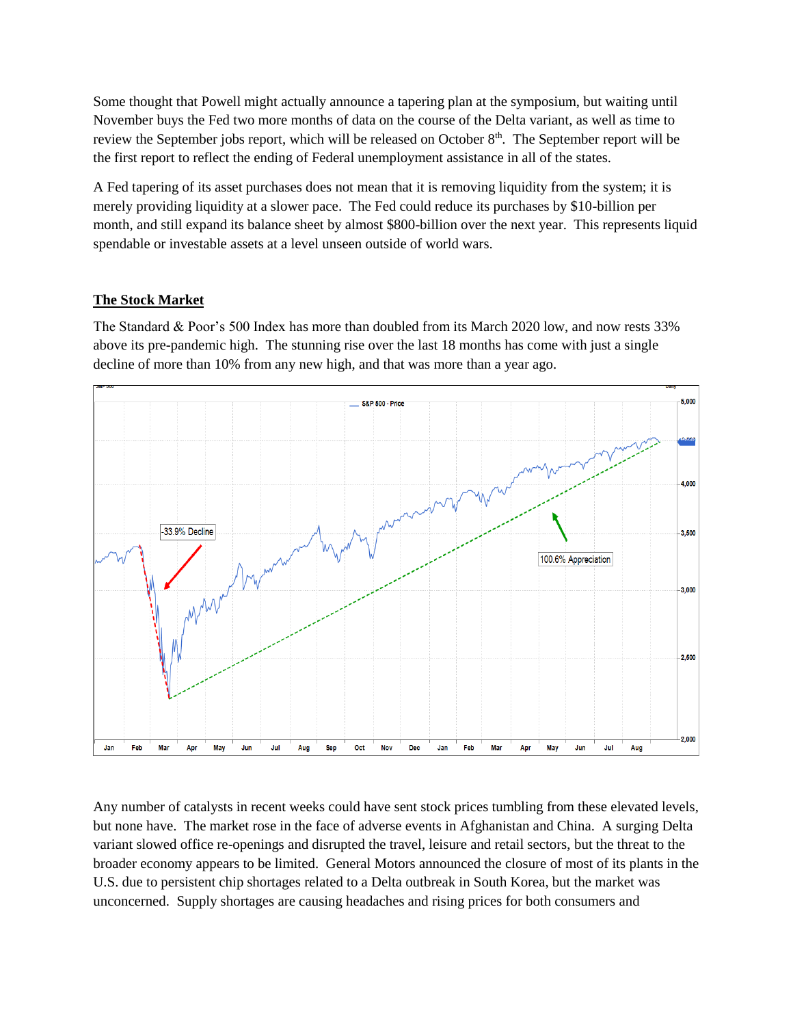Some thought that Powell might actually announce a tapering plan at the symposium, but waiting until November buys the Fed two more months of data on the course of the Delta variant, as well as time to review the September jobs report, which will be released on October 8<sup>th</sup>. The September report will be the first report to reflect the ending of Federal unemployment assistance in all of the states.

A Fed tapering of its asset purchases does not mean that it is removing liquidity from the system; it is merely providing liquidity at a slower pace. The Fed could reduce its purchases by \$10-billion per month, and still expand its balance sheet by almost \$800-billion over the next year. This represents liquid spendable or investable assets at a level unseen outside of world wars.

## **The Stock Market**

The Standard & Poor's 500 Index has more than doubled from its March 2020 low, and now rests 33% above its pre-pandemic high. The stunning rise over the last 18 months has come with just a single decline of more than 10% from any new high, and that was more than a year ago.



Any number of catalysts in recent weeks could have sent stock prices tumbling from these elevated levels, but none have. The market rose in the face of adverse events in Afghanistan and China. A surging Delta variant slowed office re-openings and disrupted the travel, leisure and retail sectors, but the threat to the broader economy appears to be limited. General Motors announced the closure of most of its plants in the U.S. due to persistent chip shortages related to a Delta outbreak in South Korea, but the market was unconcerned. Supply shortages are causing headaches and rising prices for both consumers and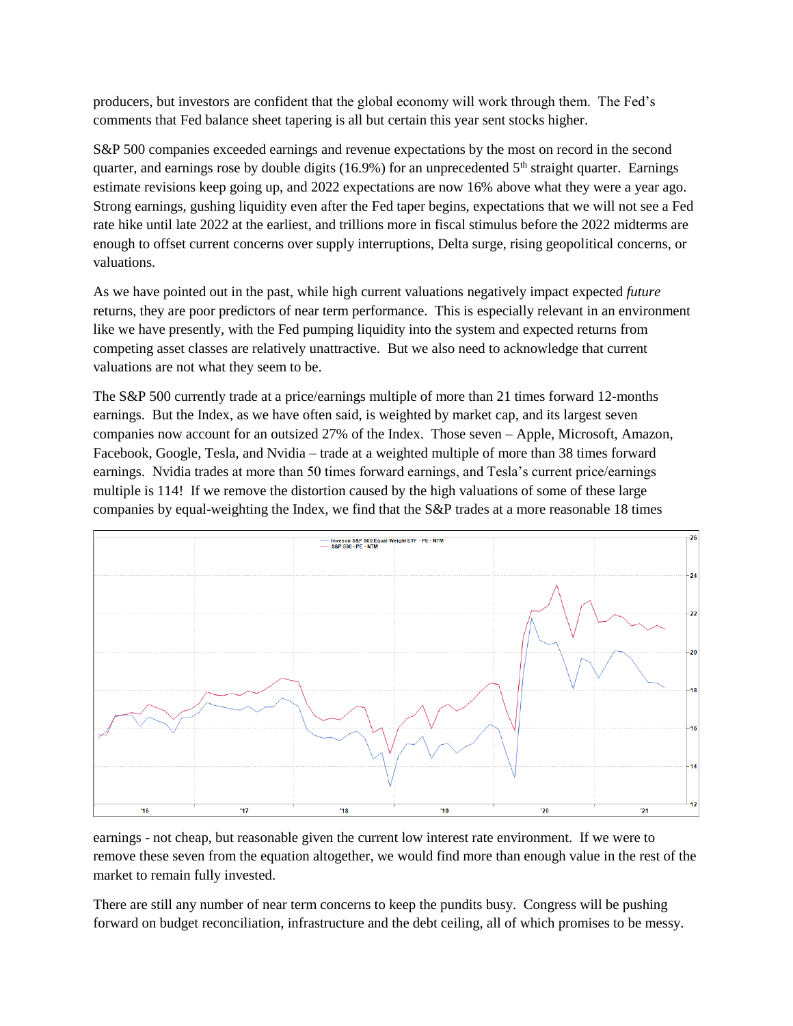producers, but investors are confident that the global economy will work through them. The Fed's comments that Fed balance sheet tapering is all but certain this year sent stocks higher.

S&P 500 companies exceeded earnings and revenue expectations by the most on record in the second quarter, and earnings rose by double digits (16.9%) for an unprecedented  $5<sup>th</sup>$  straight quarter. Earnings estimate revisions keep going up, and 2022 expectations are now 16% above what they were a year ago. Strong earnings, gushing liquidity even after the Fed taper begins, expectations that we will not see a Fed rate hike until late 2022 at the earliest, and trillions more in fiscal stimulus before the 2022 midterms are enough to offset current concerns over supply interruptions, Delta surge, rising geopolitical concerns, or valuations.

As we have pointed out in the past, while high current valuations negatively impact expected *future* returns, they are poor predictors of near term performance. This is especially relevant in an environment like we have presently, with the Fed pumping liquidity into the system and expected returns from competing asset classes are relatively unattractive. But we also need to acknowledge that current valuations are not what they seem to be.

The S&P 500 currently trade at a price/earnings multiple of more than 21 times forward 12-months earnings. But the Index, as we have often said, is weighted by market cap, and its largest seven companies now account for an outsized 27% of the Index. Those seven – Apple, Microsoft, Amazon, Facebook, Google, Tesla, and Nvidia – trade at a weighted multiple of more than 38 times forward earnings. Nvidia trades at more than 50 times forward earnings, and Tesla's current price/earnings multiple is 114! If we remove the distortion caused by the high valuations of some of these large companies by equal-weighting the Index, we find that the S&P trades at a more reasonable 18 times



earnings - not cheap, but reasonable given the current low interest rate environment. If we were to remove these seven from the equation altogether, we would find more than enough value in the rest of the market to remain fully invested.

There are still any number of near term concerns to keep the pundits busy. Congress will be pushing forward on budget reconciliation, infrastructure and the debt ceiling, all of which promises to be messy.